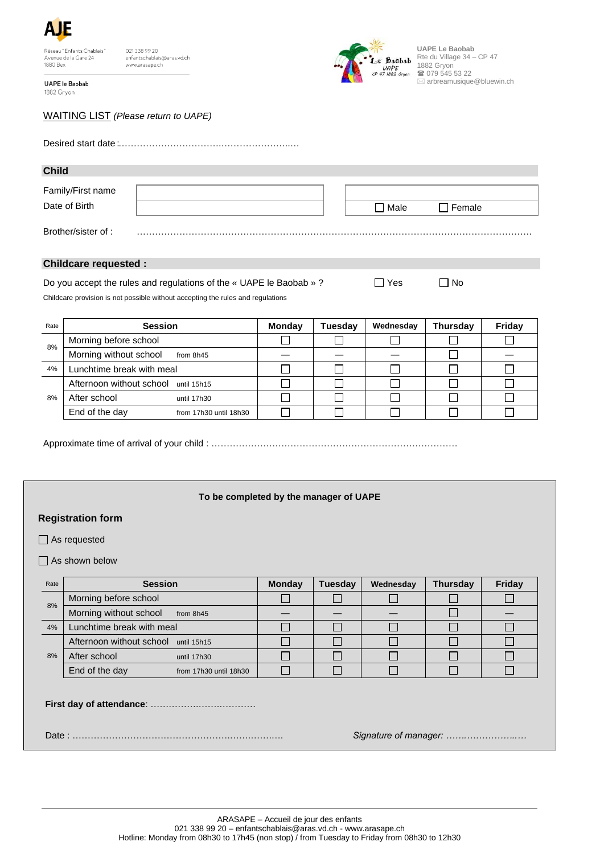

021 338 99 20<br>enfantschablais@aras.vd.ch www.arasape.ch

UAPE le Baobab 1882 Gryon



**UAPE Le Baobab** Rte du Village 34 – CP 47 1882 Gryon ■ 079 545 53 22  $\boxtimes$  arbreamusique@bluewin.ch

## WAITING LIST *(Please return to UAPE)*

| <b>Child</b>                       |  |  |      |               |  |  |  |  |  |
|------------------------------------|--|--|------|---------------|--|--|--|--|--|
| Family/First name<br>Date of Birth |  |  | Male | $\Box$ Female |  |  |  |  |  |
| Brother/sister of:                 |  |  |      |               |  |  |  |  |  |

## **Childcare requested :**

| Do you accept the rules and regulations of the « UAPE le Baobab »? | $\Box$ Yes | $\Box$ No |
|--------------------------------------------------------------------|------------|-----------|
|--------------------------------------------------------------------|------------|-----------|

Childcare provision is not possible without accepting the rules and regulations

| Rate | <b>Session</b>                           | <b>Monday</b> | Tuesday | Wednesday | <b>Thursday</b> | Friday |
|------|------------------------------------------|---------------|---------|-----------|-----------------|--------|
| 8%   | Morning before school                    |               |         |           |                 |        |
|      | Morning without school<br>from 8h45      |               |         |           |                 |        |
| 4%   | Lunchtime break with meal                |               |         |           |                 |        |
| 8%   | Afternoon without school until 15h15     |               |         |           |                 |        |
|      | After school<br>until 17h30              |               |         |           |                 |        |
|      | End of the day<br>from 17h30 until 18h30 |               |         |           |                 |        |

Approximate time of arrival of your child : ………………………………………………………………………

## **To be completed by the manager of UAPE**

## **Registration form**

□ As requested

 $\Box$  As shown below

| Rate                  | <b>Session</b>                           | <b>Monday</b> | <b>Tuesday</b> | Wednesday | <b>Thursday</b> | Friday |
|-----------------------|------------------------------------------|---------------|----------------|-----------|-----------------|--------|
| 8%                    | Morning before school                    |               |                |           |                 |        |
|                       | Morning without school<br>from 8h45      |               |                |           |                 |        |
| 4%                    | Lunchtime break with meal                |               |                |           |                 |        |
| 8%                    | Afternoon without school until 15h15     |               |                |           |                 |        |
|                       | After school<br>until 17h30              |               |                |           |                 |        |
|                       | End of the day<br>from 17h30 until 18h30 |               |                |           |                 |        |
|                       |                                          |               |                |           |                 |        |
| Signature of manager: |                                          |               |                |           |                 |        |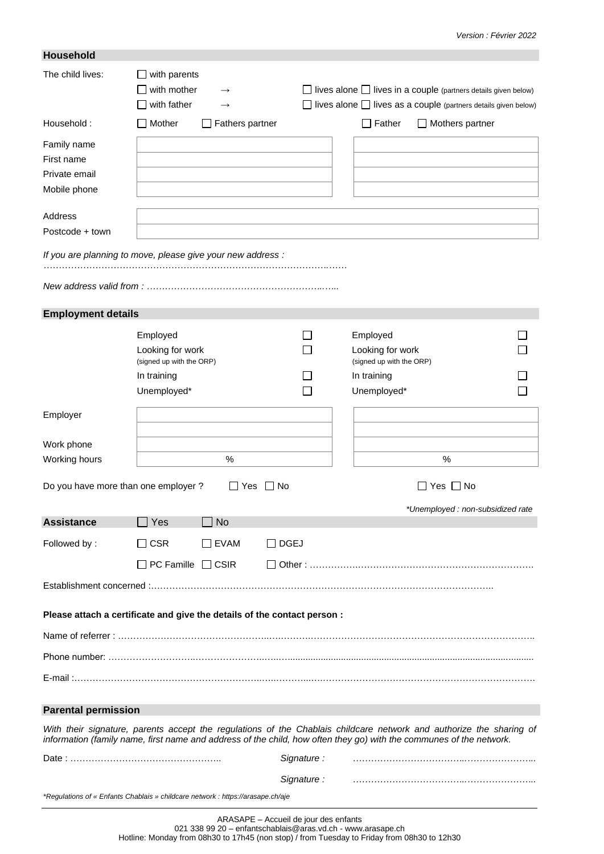| <b>Household</b>                                                                |                                              |                                |             |                                                                                                                                                                                                                                            |                                   |
|---------------------------------------------------------------------------------|----------------------------------------------|--------------------------------|-------------|--------------------------------------------------------------------------------------------------------------------------------------------------------------------------------------------------------------------------------------------|-----------------------------------|
| The child lives:                                                                | with parents<br>with mother<br>with father   | $\rightarrow$<br>$\rightarrow$ |             | lives alone $\Box$ lives in a couple (partners details given below)<br>lives alone $\Box$ lives as a couple (partners details given below)                                                                                                 |                                   |
| Household:                                                                      | Mother                                       | Fathers partner                |             | $\Box$ Mothers partner<br>$\Box$ Father                                                                                                                                                                                                    |                                   |
| Family name                                                                     |                                              |                                |             |                                                                                                                                                                                                                                            |                                   |
| First name<br>Private email                                                     |                                              |                                |             |                                                                                                                                                                                                                                            |                                   |
| Mobile phone                                                                    |                                              |                                |             |                                                                                                                                                                                                                                            |                                   |
|                                                                                 |                                              |                                |             |                                                                                                                                                                                                                                            |                                   |
| Address<br>Postcode + town                                                      |                                              |                                |             |                                                                                                                                                                                                                                            |                                   |
|                                                                                 |                                              |                                |             |                                                                                                                                                                                                                                            |                                   |
| If you are planning to move, please give your new address :                     |                                              |                                |             |                                                                                                                                                                                                                                            |                                   |
|                                                                                 |                                              |                                |             |                                                                                                                                                                                                                                            |                                   |
| <b>Employment details</b>                                                       |                                              |                                |             |                                                                                                                                                                                                                                            |                                   |
|                                                                                 | Employed                                     |                                |             | Employed                                                                                                                                                                                                                                   |                                   |
|                                                                                 | Looking for work<br>(signed up with the ORP) |                                |             | Looking for work<br>(signed up with the ORP)                                                                                                                                                                                               |                                   |
|                                                                                 | In training                                  |                                |             | In training                                                                                                                                                                                                                                |                                   |
|                                                                                 | Unemployed*                                  |                                |             | Unemployed*                                                                                                                                                                                                                                |                                   |
| Employer                                                                        |                                              |                                |             |                                                                                                                                                                                                                                            |                                   |
|                                                                                 |                                              |                                |             |                                                                                                                                                                                                                                            |                                   |
| Work phone<br>Working hours                                                     |                                              | $\%$                           |             | $\%$                                                                                                                                                                                                                                       |                                   |
|                                                                                 |                                              |                                |             |                                                                                                                                                                                                                                            |                                   |
| Do you have more than one employer?                                             |                                              | Yes                            | No          | Yes No                                                                                                                                                                                                                                     |                                   |
|                                                                                 |                                              |                                |             |                                                                                                                                                                                                                                            | *Unemployed : non-subsidized rate |
| <b>Assistance</b>                                                               | Yes                                          | <b>No</b>                      |             |                                                                                                                                                                                                                                            |                                   |
| Followed by:                                                                    | $\Box$ CSR                                   | $\Box$ EVAM                    | $\Box$ DGEJ |                                                                                                                                                                                                                                            |                                   |
|                                                                                 | $\Box$ PC Famille $\Box$ CSIR                |                                |             |                                                                                                                                                                                                                                            |                                   |
|                                                                                 |                                              |                                |             |                                                                                                                                                                                                                                            |                                   |
| Please attach a certificate and give the details of the contact person :        |                                              |                                |             |                                                                                                                                                                                                                                            |                                   |
|                                                                                 |                                              |                                |             |                                                                                                                                                                                                                                            |                                   |
|                                                                                 |                                              |                                |             |                                                                                                                                                                                                                                            |                                   |
|                                                                                 |                                              |                                |             |                                                                                                                                                                                                                                            |                                   |
|                                                                                 |                                              |                                |             |                                                                                                                                                                                                                                            |                                   |
| <b>Parental permission</b>                                                      |                                              |                                |             |                                                                                                                                                                                                                                            |                                   |
|                                                                                 |                                              |                                |             | With their signature, parents accept the regulations of the Chablais childcare network and authorize the sharing of<br>information (family name, first name and address of the child, how often they go) with the communes of the network. |                                   |
|                                                                                 |                                              |                                | Signature:  |                                                                                                                                                                                                                                            |                                   |
|                                                                                 |                                              |                                | Signature:  |                                                                                                                                                                                                                                            |                                   |
| *Regulations of « Enfants Chablais » childcare network : https://arasape.ch/aje |                                              |                                |             |                                                                                                                                                                                                                                            |                                   |

Hotline: Monday from 08h30 to 17h45 (non stop) / from Tuesday to Friday from 08h30 to 12h30